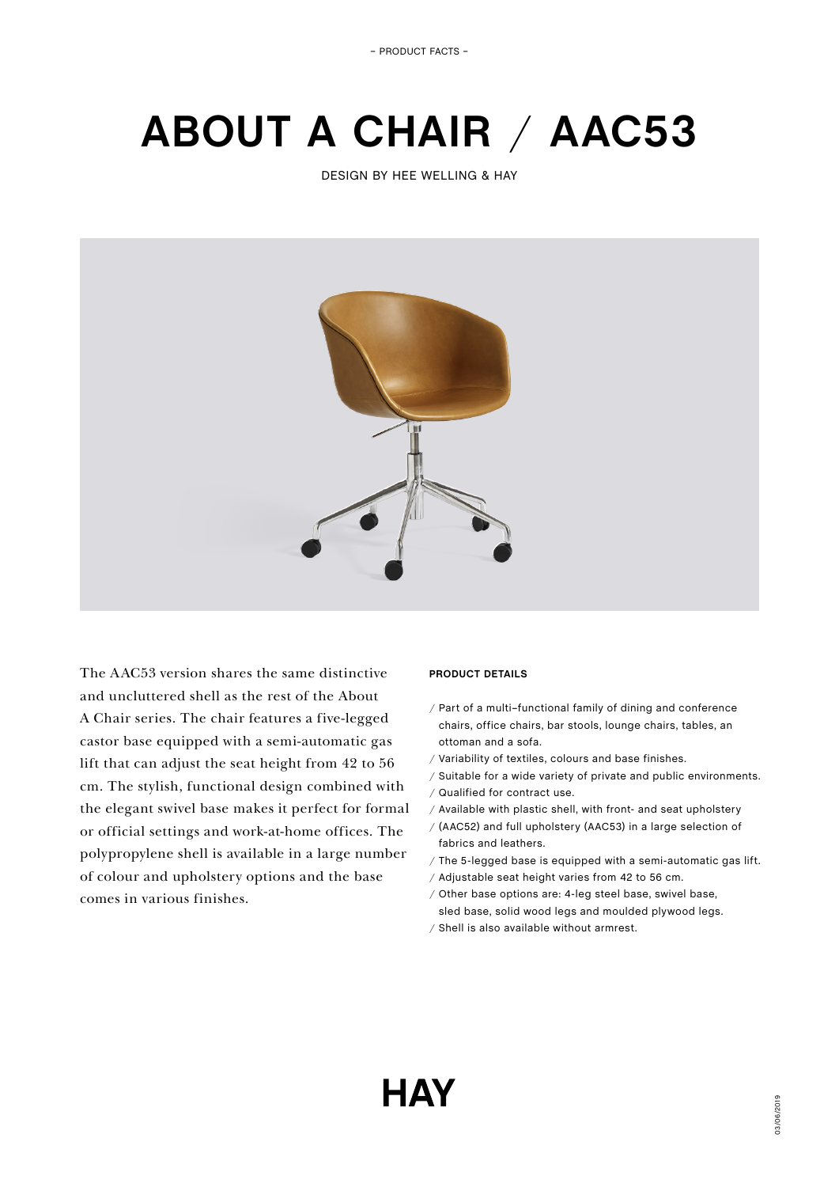– PRODUCT FACTS –

# **ABOUT A CHAIR** / **AAC53**

DESIGN BY HEE WELLING & HAY



The AAC53 version shares the same distinctive and uncluttered shell as the rest of the About A Chair series. The chair features a five-legged castor base equipped with a semi-automatic gas lift that can adjust the seat height from 42 to 56 cm. The stylish, functional design combined with the elegant swivel base makes it perfect for formal or official settings and work-at-home offices. The polypropylene shell is available in a large number of colour and upholstery options and the base comes in various finishes.

# **PRODUCT DETAILS**

- / Part of a multi–functional family of dining and conference chairs, office chairs, bar stools, lounge chairs, tables, an ottoman and a sofa.
- / Variability of textiles, colours and base finishes.
- / Suitable for a wide variety of private and public environments.
- / Qualified for contract use.
- / Available with plastic shell, with front- and seat upholstery
- / (AAC52) and full upholstery (AAC53) in a large selection of fabrics and leathers.
- / The 5-legged base is equipped with a semi-automatic gas lift.
- / Adjustable seat height varies from 42 to 56 cm.
- / Other base options are: 4-leg steel base, swivel base, sled base, solid wood legs and moulded plywood legs.
- / Shell is also available without armrest.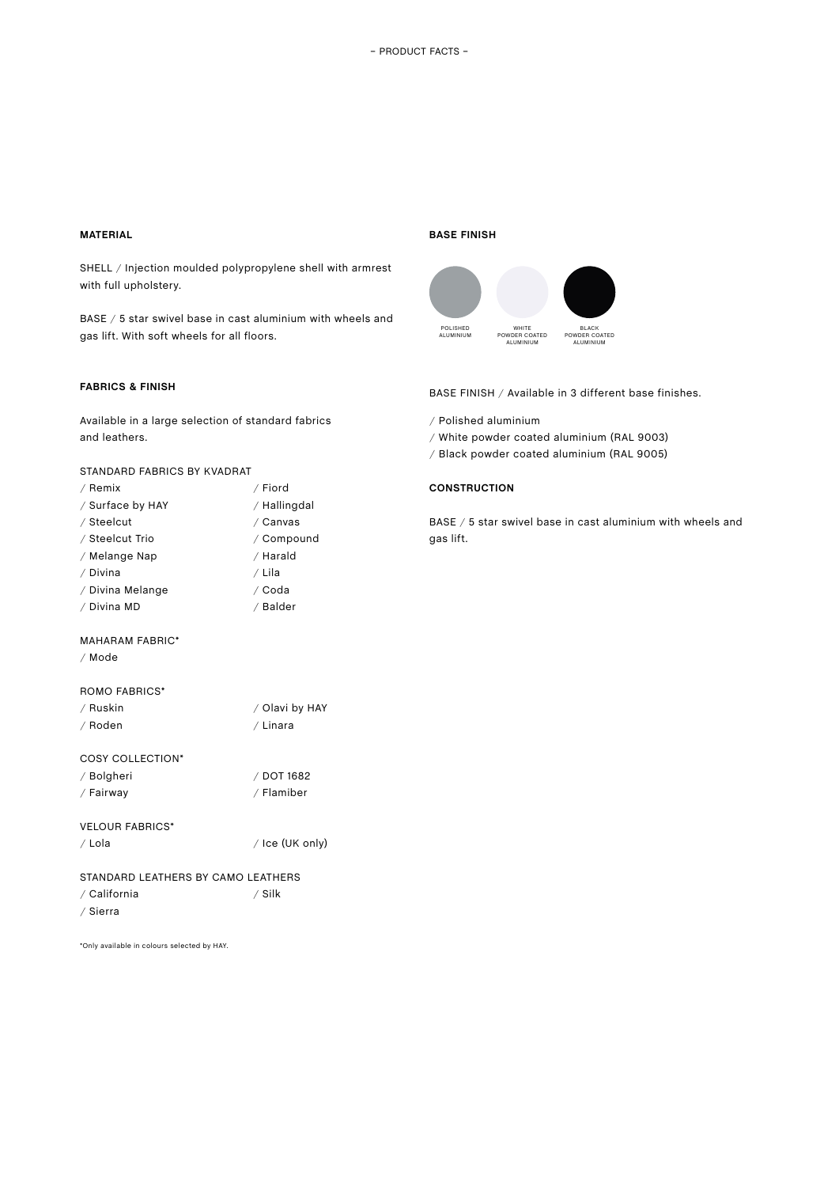# **MATERIAL**

SHELL / Injection moulded polypropylene shell with armrest with full upholstery.

BASE / 5 star swivel base in cast aluminium with wheels and gas lift. With soft wheels for all floors.

# **FABRICS & FINISH**

Available in a large selection of standard fabrics and leathers.

## STANDARD FABRICS BY KVADRAT

| / Remix          | / Fiord      |
|------------------|--------------|
| / Surface by HAY | / Hallingdal |
| / Steelcut       | / Canvas     |
| / Steelcut Trio  | / Compound   |
| / Melange Nap    | / Harald     |
| / Divina         | / Lila       |
| / Divina Melange | / Coda       |
| / Divina MD      | / Balder     |
|                  |              |

#### MAHARAM FABRIC\*

/ Mode

### ROMO FABRICS\*

| / Ruskin | / Olavi by HAY |
|----------|----------------|
| / Roden  | / Linara       |

| / Bolgheri | / DOT 1682 |
|------------|------------|
| / Fairway  | / Flamiber |

# VELOUR FABRICS\*

/ Lola / Ice (UK only)

# STANDARD LEATHERS BY CAMO LEATHERS / Silk

/ California / Sierra

\*Only available in colours selected by HAY.

#### **BASE FINISH**



BASE FINISH / Available in 3 different base finishes.

- / Polished aluminium
- / White powder coated aluminium (RAL 9003)
- / Black powder coated aluminium (RAL 9005)

# **CONSTRUCTION**

BASE / 5 star swivel base in cast aluminium with wheels and gas lift.